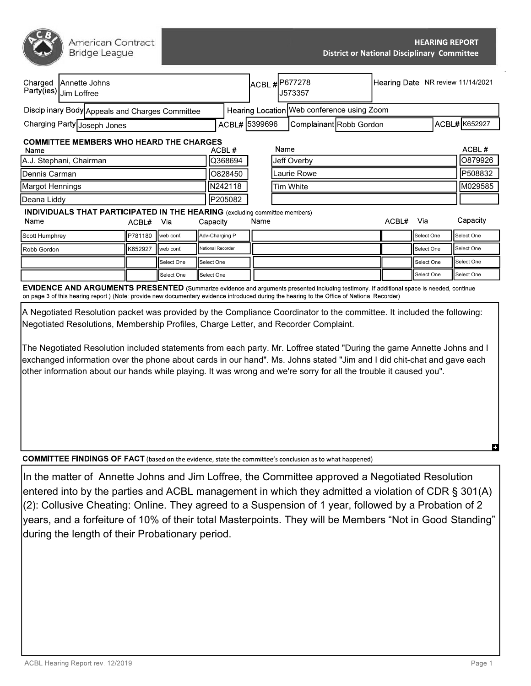| American Contract |  |
|-------------------|--|
| Bridge League     |  |

| Charged<br>Annette Johns<br>Party(ies) Jim Loffree                                                                                               |         |            |            |                   | ACBL #P677278<br>J573357                   |             |                         |  | Hearing Date NR review 11/14/2021 |                     |               |  |
|--------------------------------------------------------------------------------------------------------------------------------------------------|---------|------------|------------|-------------------|--------------------------------------------|-------------|-------------------------|--|-----------------------------------|---------------------|---------------|--|
| Disciplinary Body Appeals and Charges Committee                                                                                                  |         |            |            |                   | Hearing Location Web conference using Zoom |             |                         |  |                                   |                     |               |  |
| Charging Party Joseph Jones                                                                                                                      |         |            |            | ACBL# 5399696     |                                            |             | Complainant Robb Gordon |  |                                   |                     | ACBL# K652927 |  |
| <b>COMMITTEE MEMBERS WHO HEARD THE CHARGES</b><br>Name                                                                                           |         |            |            | ACBL#             |                                            | Name        |                         |  |                                   |                     | ACBL#         |  |
| A.J. Stephani, Chairman                                                                                                                          |         |            | Q368694    | Jeff Overby       |                                            |             |                         |  |                                   | O879926             |               |  |
| Dennis Carman                                                                                                                                    |         |            |            | 0828450           |                                            | Laurie Rowe |                         |  |                                   | P508832             |               |  |
| Margot Hennings                                                                                                                                  |         |            |            | N242118           |                                            | lTim White  |                         |  |                                   |                     | M029585       |  |
| Deana Liddy                                                                                                                                      |         |            |            | P205082           |                                            |             |                         |  |                                   |                     |               |  |
| <b>INDIVIDUALS THAT PARTICIPATED IN THE HEARING</b> (excluding committee members)<br>Name                                                        | ACBL#   | Via        |            | Capacity          | Name                                       |             |                         |  | ACBL#                             | Via                 | Capacity      |  |
| Scott Humphrey                                                                                                                                   | P781180 | web conf.  |            | Adv-Charging P    |                                            |             |                         |  |                                   | <b>I</b> Select One | Select One    |  |
| Robb Gordon                                                                                                                                      | K652927 | web conf.  |            | National Recorder |                                            |             |                         |  |                                   | Select One          | Select One    |  |
|                                                                                                                                                  |         | Select One | Select One |                   |                                            |             |                         |  |                                   | Select One          | Select One    |  |
|                                                                                                                                                  |         | Select One | Select One |                   |                                            |             |                         |  |                                   | Select One          | Select One    |  |
| <b>EVIDENCE AND ARCHMENTS DRESENTED</b> (Summarize ovidence and arguments presented including testimony, If additional space is peodod, continue |         |            |            |                   |                                            |             |                         |  |                                   |                     |               |  |

(Summarize evidence and arguments presented including testimony. If additional on page 3 of this hearing report.) (Note: provide new documentary evidence introduced during the hearing to the Office of National Recorder)

A Negotiated Resolution packet was provided by the Compliance Coordinator to the committee. It included the following: Negotiated Resolutions, Membership Profiles, Charge Letter, and Recorder Complaint.

The Negotiated Resolution included statements from each party. Mr. Loffree stated "During the game Annette Johns and I exchanged information over the phone about cards in our hand". Ms. Johns stated "Jim and I did chit-chat and gave each other information about our hands while playing. It was wrong and we're sorry for all the trouble it caused you".

**COMMITTEE FINDINGS OF FACT** (based on the evidence, state the committee's conclusion as to what happened)

In the matter of Annette Johns and Jim Loffree, the Committee approved a Negotiated Resolution entered into by the parties and ACBL management in which they admitted a violation of CDR § 301(A) (2): Collusive Cheating: Online. They agreed to a Suspension of 1 year, followed by a Probation of 2 years, and a forfeiture of 10% of their total Masterpoints. They will be Members "Not in Good Standing" during the length of their Probationary period.

m